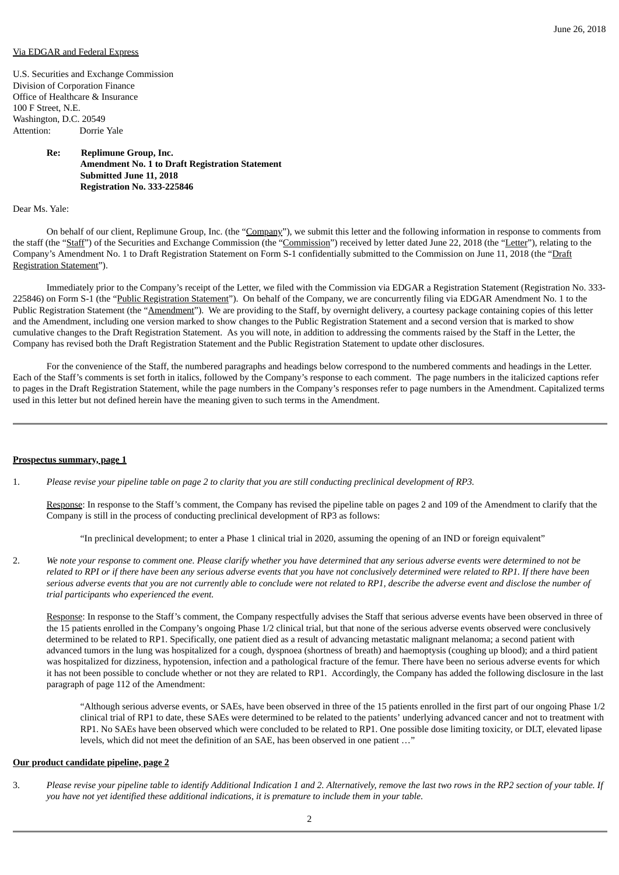### Via EDGAR and Federal Express

U.S. Securities and Exchange Commission Division of Corporation Finance Office of Healthcare & Insurance 100 F Street, N.E. Washington, D.C. 20549 Attention: Dorrie Yale

# **Re: Replimune Group, Inc. Amendment No. 1 to Draft Registration Statement Submitted June 11, 2018 Registration No. 333-225846**

Dear Ms. Yale:

On behalf of our client, Replimune Group, Inc. (the "Company"), we submit this letter and the following information in response to comments from the staff (the "Staff") of the Securities and Exchange Commission (the "Commission") received by letter dated June 22, 2018 (the "Letter"), relating to the Company's Amendment No. 1 to Draft Registration Statement on Form S-1 confidentially submitted to the Commission on June 11, 2018 (the "Draft Registration Statement").

Immediately prior to the Company's receipt of the Letter, we filed with the Commission via EDGAR a Registration Statement (Registration No. 333- 225846) on Form S-1 (the "Public Registration Statement"). On behalf of the Company, we are concurrently filing via EDGAR Amendment No. 1 to the Public Registration Statement (the "Amendment"). We are providing to the Staff, by overnight delivery, a courtesy package containing copies of this letter and the Amendment, including one version marked to show changes to the Public Registration Statement and a second version that is marked to show cumulative changes to the Draft Registration Statement. As you will note, in addition to addressing the comments raised by the Staff in the Letter, the Company has revised both the Draft Registration Statement and the Public Registration Statement to update other disclosures.

For the convenience of the Staff, the numbered paragraphs and headings below correspond to the numbered comments and headings in the Letter. Each of the Staff's comments is set forth in italics, followed by the Company's response to each comment. The page numbers in the italicized captions refer to pages in the Draft Registration Statement, while the page numbers in the Company's responses refer to page numbers in the Amendment. Capitalized terms used in this letter but not defined herein have the meaning given to such terms in the Amendment.

#### **Prospectus summary, page 1**

1. Please revise your pipeline table on page 2 to clarity that you are still conducting preclinical development of RP3.

Response: In response to the Staff's comment, the Company has revised the pipeline table on pages 2 and 109 of the Amendment to clarify that the Company is still in the process of conducting preclinical development of RP3 as follows:

"In preclinical development; to enter a Phase 1 clinical trial in 2020, assuming the opening of an IND or foreign equivalent"

2. We note your response to comment one. Please clarify whether you have determined that any serious adverse events were determined to not be related to RPI or if there have been any serious adverse events that you have not conclusively determined were related to RP1. If there have been serious adverse events that you are not currently able to conclude were not related to RP1, describe the adverse event and disclose the number of *trial participants who experienced the event.*

Response: In response to the Staff's comment, the Company respectfully advises the Staff that serious adverse events have been observed in three of the 15 patients enrolled in the Company's ongoing Phase 1/2 clinical trial, but that none of the serious adverse events observed were conclusively determined to be related to RP1. Specifically, one patient died as a result of advancing metastatic malignant melanoma; a second patient with advanced tumors in the lung was hospitalized for a cough, dyspnoea (shortness of breath) and haemoptysis (coughing up blood); and a third patient was hospitalized for dizziness, hypotension, infection and a pathological fracture of the femur. There have been no serious adverse events for which it has not been possible to conclude whether or not they are related to RP1. Accordingly, the Company has added the following disclosure in the last paragraph of page 112 of the Amendment:

"Although serious adverse events, or SAEs, have been observed in three of the 15 patients enrolled in the first part of our ongoing Phase 1/2 clinical trial of RP1 to date, these SAEs were determined to be related to the patients' underlying advanced cancer and not to treatment with RP1. No SAEs have been observed which were concluded to be related to RP1. One possible dose limiting toxicity, or DLT, elevated lipase levels, which did not meet the definition of an SAE, has been observed in one patient …"

### **Our product candidate pipeline, page 2**

3. Please revise your pipeline table to identify Additional Indication 1 and 2. Alternatively, remove the last two rows in the RP2 section of your table. If *you have not yet identified these additional indications, it is premature to include them in your table.*